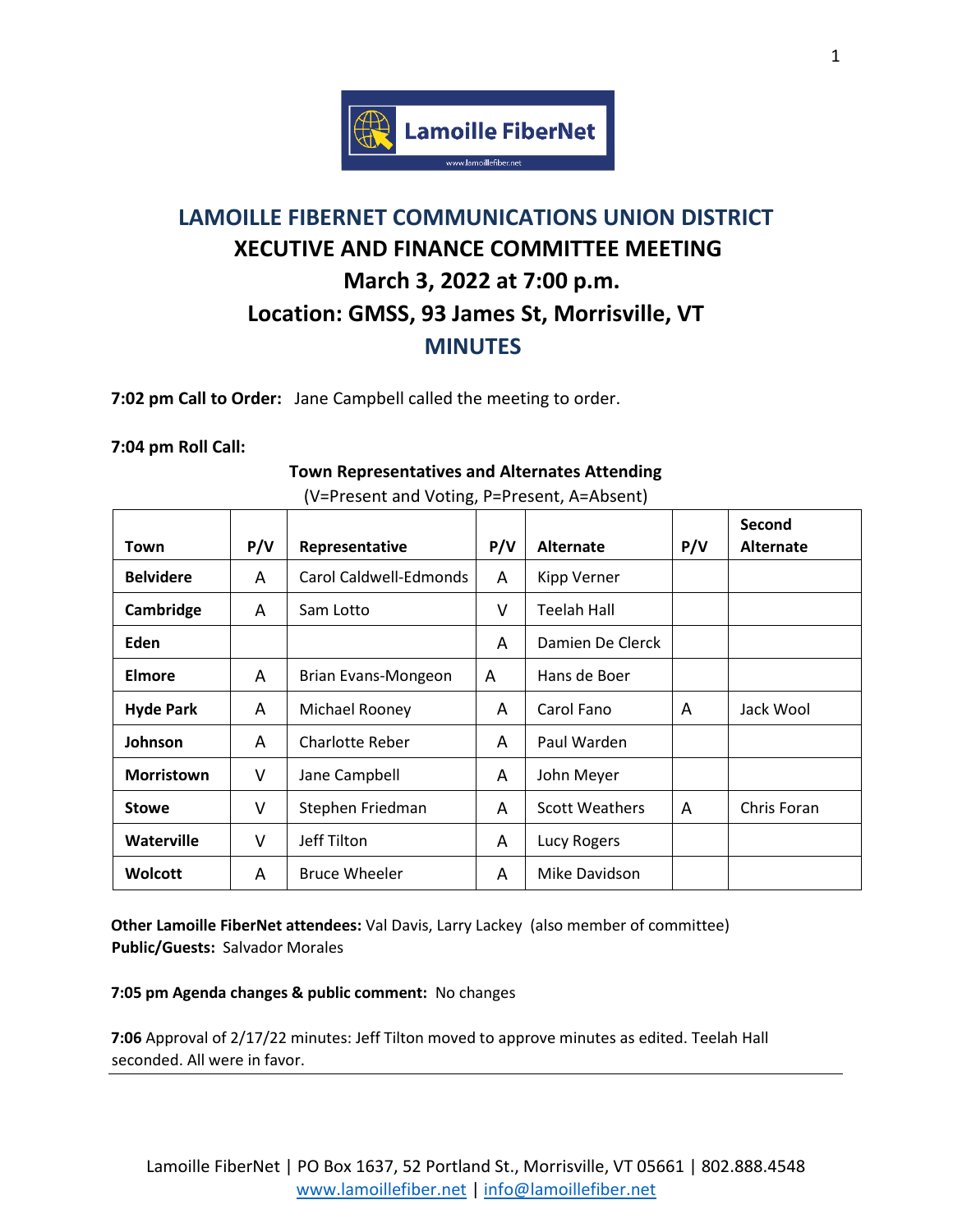

# **LAMOILLE FIBERNET COMMUNICATIONS UNION DISTRICT XECUTIVE AND FINANCE COMMITTEE MEETING March 3, 2022 at 7:00 p.m. Location: GMSS, 93 James St, Morrisville, VT MINUTES**

**7:02 pm Call to Order:** Jane Campbell called the meeting to order.

## **7:04 pm Roll Call:**

# **Town Representatives and Alternates Attending**

| Town              | P/V | Representative         | P/V | <b>Alternate</b>      | P/V | Second<br><b>Alternate</b> |
|-------------------|-----|------------------------|-----|-----------------------|-----|----------------------------|
| <b>Belvidere</b>  | A   | Carol Caldwell-Edmonds | A   | Kipp Verner           |     |                            |
| Cambridge         | A   | Sam Lotto              | ۷   | Teelah Hall           |     |                            |
| Eden              |     |                        | A   | Damien De Clerck      |     |                            |
| <b>Elmore</b>     | A   | Brian Evans-Mongeon    | A   | Hans de Boer          |     |                            |
| <b>Hyde Park</b>  | A   | Michael Rooney         | A   | Carol Fano            | A   | Jack Wool                  |
| Johnson           | A   | <b>Charlotte Reber</b> | A   | Paul Warden           |     |                            |
| <b>Morristown</b> | V   | Jane Campbell          | A   | John Meyer            |     |                            |
| <b>Stowe</b>      | V   | Stephen Friedman       | A   | <b>Scott Weathers</b> | A   | Chris Foran                |
| Waterville        | V   | Jeff Tilton            | A   | Lucy Rogers           |     |                            |
| <b>Wolcott</b>    | A   | <b>Bruce Wheeler</b>   | A   | Mike Davidson         |     |                            |

# (V=Present and Voting, P=Present, A=Absent)

**Other Lamoille FiberNet attendees:** Val Davis, Larry Lackey (also member of committee) **Public/Guests:** Salvador Morales

#### **7:05 pm Agenda changes & public comment:** No changes

**7:06** Approval of 2/17/22 minutes: Jeff Tilton moved to approve minutes as edited. Teelah Hall seconded. All were in favor.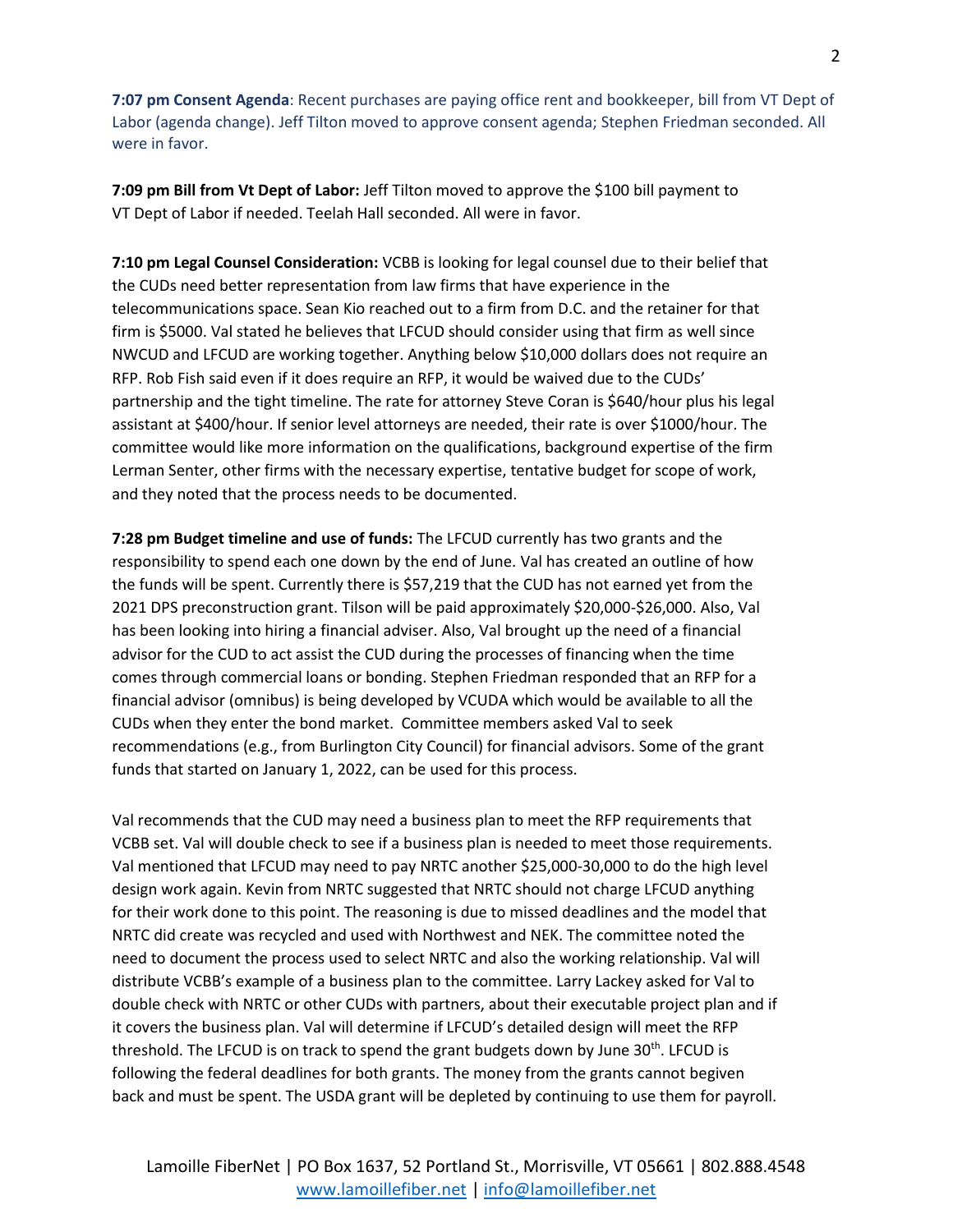**7:07 pm Consent Agenda**: Recent purchases are paying office rent and bookkeeper, bill from VT Dept of Labor (agenda change). Jeff Tilton moved to approve consent agenda; Stephen Friedman seconded. All were in favor.

**7:09 pm Bill from Vt Dept of Labor:** Jeff Tilton moved to approve the \$100 bill payment to VT Dept of Labor if needed. Teelah Hall seconded. All were in favor.

**7:10 pm Legal Counsel Consideration:** VCBB is looking for legal counsel due to their belief that the CUDs need better representation from law firms that have experience in the telecommunications space. Sean Kio reached out to a firm from D.C. and the retainer for that firm is \$5000. Val stated he believes that LFCUD should consider using that firm as well since NWCUD and LFCUD are working together. Anything below \$10,000 dollars does not require an RFP. Rob Fish said even if it does require an RFP, it would be waived due to the CUDs' partnership and the tight timeline. The rate for attorney Steve Coran is \$640/hour plus his legal assistant at \$400/hour. If senior level attorneys are needed, their rate is over \$1000/hour. The committee would like more information on the qualifications, background expertise of the firm Lerman Senter, other firms with the necessary expertise, tentative budget for scope of work, and they noted that the process needs to be documented.

**7:28 pm Budget timeline and use of funds:** The LFCUD currently has two grants and the responsibility to spend each one down by the end of June. Val has created an outline of how the funds will be spent. Currently there is \$57,219 that the CUD has not earned yet from the 2021 DPS preconstruction grant. Tilson will be paid approximately \$20,000-\$26,000. Also, Val has been looking into hiring a financial adviser. Also, Val brought up the need of a financial advisor for the CUD to act assist the CUD during the processes of financing when the time comes through commercial loans or bonding. Stephen Friedman responded that an RFP for a financial advisor (omnibus) is being developed by VCUDA which would be available to all the CUDs when they enter the bond market. Committee members asked Val to seek recommendations (e.g., from Burlington City Council) for financial advisors. Some of the grant funds that started on January 1, 2022, can be used for this process.

Val recommends that the CUD may need a business plan to meet the RFP requirements that VCBB set. Val will double check to see if a business plan is needed to meet those requirements. Val mentioned that LFCUD may need to pay NRTC another \$25,000-30,000 to do the high level design work again. Kevin from NRTC suggested that NRTC should not charge LFCUD anything for their work done to this point. The reasoning is due to missed deadlines and the model that NRTC did create was recycled and used with Northwest and NEK. The committee noted the need to document the process used to select NRTC and also the working relationship. Val will distribute VCBB's example of a business plan to the committee. Larry Lackey asked for Val to double check with NRTC or other CUDs with partners, about their executable project plan and if it covers the business plan. Val will determine if LFCUD's detailed design will meet the RFP threshold. The LFCUD is on track to spend the grant budgets down by June  $30<sup>th</sup>$ . LFCUD is following the federal deadlines for both grants. The money from the grants cannot begiven back and must be spent. The USDA grant will be depleted by continuing to use them for payroll.